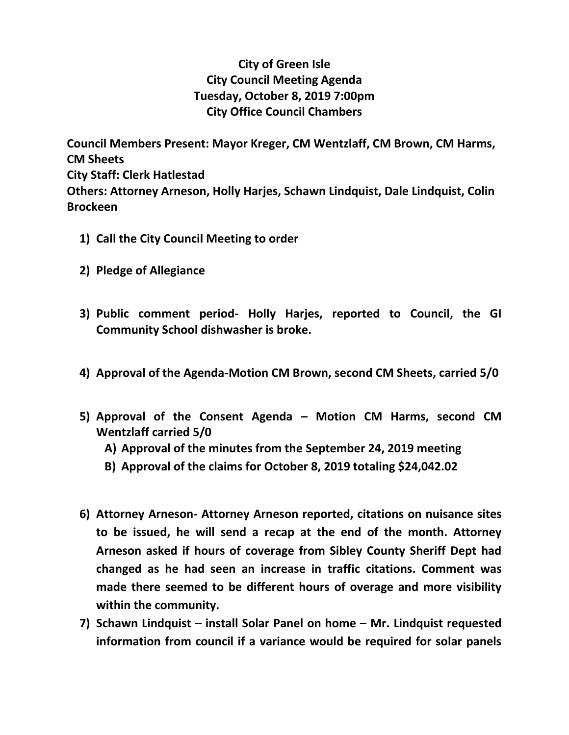## **City of Green Isle City Council Meeting Agenda Tuesday, October 8, 2019 7:00pm City Office Council Chambers**

**Council Members Present: Mayor Kreger, CM Wentzlaff, CM Brown, CM Harms, CM Sheets City Staff: Clerk Hatlestad Others: Attorney Arneson, Holly Harjes, Schawn Lindquist, Dale Lindquist, Colin Brockeen**

- **1) Call the City Council Meeting to order**
- **2) Pledge of Allegiance**
- **3) Public comment period- Holly Harjes, reported to Council, the GI Community School dishwasher is broke.**
- **4) Approval of the Agenda-Motion CM Brown, second CM Sheets, carried 5/0**
- **5) Approval of the Consent Agenda – Motion CM Harms, second CM Wentzlaff carried 5/0**
	- **A) Approval of the minutes from the September 24, 2019 meeting**
	- **B) Approval of the claims for October 8, 2019 totaling \$24,042.02**
- **6) Attorney Arneson- Attorney Arneson reported, citations on nuisance sites to be issued, he will send a recap at the end of the month. Attorney Arneson asked if hours of coverage from Sibley County Sheriff Dept had changed as he had seen an increase in traffic citations. Comment was made there seemed to be different hours of overage and more visibility within the community.**
- **7) Schawn Lindquist – install Solar Panel on home – Mr. Lindquist requested information from council if a variance would be required for solar panels**